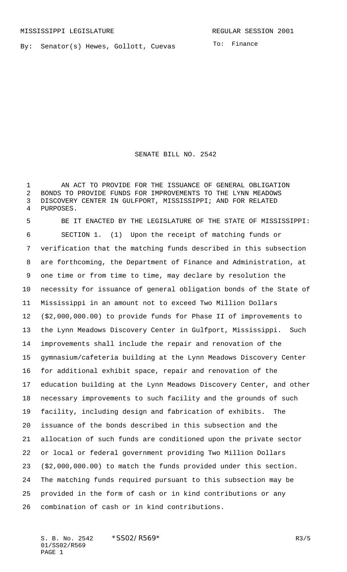By: Senator(s) Hewes, Gollott, Cuevas

To: Finance

SENATE BILL NO. 2542

 AN ACT TO PROVIDE FOR THE ISSUANCE OF GENERAL OBLIGATION BONDS TO PROVIDE FUNDS FOR IMPROVEMENTS TO THE LYNN MEADOWS DISCOVERY CENTER IN GULFPORT, MISSISSIPPI; AND FOR RELATED PURPOSES.

 BE IT ENACTED BY THE LEGISLATURE OF THE STATE OF MISSISSIPPI: SECTION 1. (1) Upon the receipt of matching funds or verification that the matching funds described in this subsection are forthcoming, the Department of Finance and Administration, at one time or from time to time, may declare by resolution the necessity for issuance of general obligation bonds of the State of Mississippi in an amount not to exceed Two Million Dollars (\$2,000,000.00) to provide funds for Phase II of improvements to the Lynn Meadows Discovery Center in Gulfport, Mississippi. Such improvements shall include the repair and renovation of the gymnasium/cafeteria building at the Lynn Meadows Discovery Center for additional exhibit space, repair and renovation of the education building at the Lynn Meadows Discovery Center, and other necessary improvements to such facility and the grounds of such facility, including design and fabrication of exhibits. The issuance of the bonds described in this subsection and the allocation of such funds are conditioned upon the private sector or local or federal government providing Two Million Dollars (\$2,000,000.00) to match the funds provided under this section. The matching funds required pursuant to this subsection may be provided in the form of cash or in kind contributions or any combination of cash or in kind contributions.

S. B. No. 2542 \* SS02/R569\* R3/5 01/SS02/R569 PAGE 1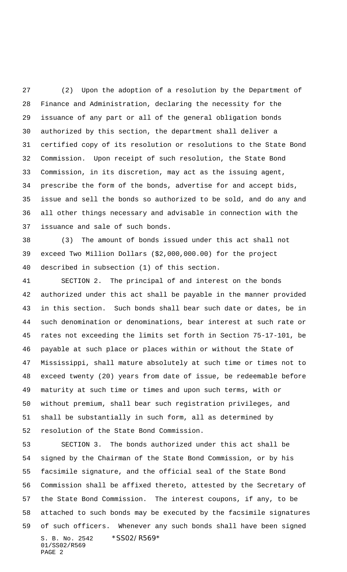(2) Upon the adoption of a resolution by the Department of Finance and Administration, declaring the necessity for the issuance of any part or all of the general obligation bonds authorized by this section, the department shall deliver a certified copy of its resolution or resolutions to the State Bond Commission. Upon receipt of such resolution, the State Bond Commission, in its discretion, may act as the issuing agent, prescribe the form of the bonds, advertise for and accept bids, issue and sell the bonds so authorized to be sold, and do any and all other things necessary and advisable in connection with the issuance and sale of such bonds.

 (3) The amount of bonds issued under this act shall not exceed Two Million Dollars (\$2,000,000.00) for the project described in subsection (1) of this section.

 SECTION 2. The principal of and interest on the bonds authorized under this act shall be payable in the manner provided in this section. Such bonds shall bear such date or dates, be in such denomination or denominations, bear interest at such rate or rates not exceeding the limits set forth in Section 75-17-101, be payable at such place or places within or without the State of Mississippi, shall mature absolutely at such time or times not to exceed twenty (20) years from date of issue, be redeemable before maturity at such time or times and upon such terms, with or without premium, shall bear such registration privileges, and shall be substantially in such form, all as determined by resolution of the State Bond Commission.

S. B. No. 2542 \* SS02/R569\* 01/SS02/R569 PAGE 2 SECTION 3. The bonds authorized under this act shall be signed by the Chairman of the State Bond Commission, or by his facsimile signature, and the official seal of the State Bond Commission shall be affixed thereto, attested by the Secretary of the State Bond Commission. The interest coupons, if any, to be attached to such bonds may be executed by the facsimile signatures of such officers. Whenever any such bonds shall have been signed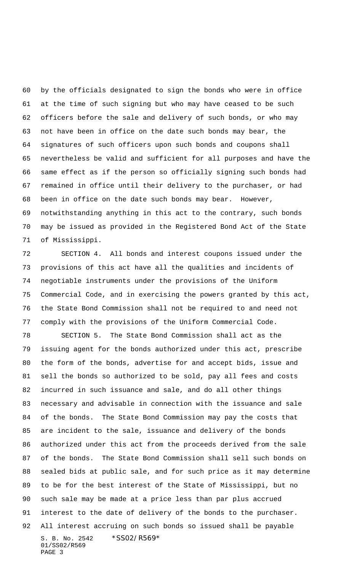by the officials designated to sign the bonds who were in office at the time of such signing but who may have ceased to be such officers before the sale and delivery of such bonds, or who may not have been in office on the date such bonds may bear, the signatures of such officers upon such bonds and coupons shall nevertheless be valid and sufficient for all purposes and have the same effect as if the person so officially signing such bonds had remained in office until their delivery to the purchaser, or had been in office on the date such bonds may bear. However, notwithstanding anything in this act to the contrary, such bonds may be issued as provided in the Registered Bond Act of the State of Mississippi.

 SECTION 4. All bonds and interest coupons issued under the provisions of this act have all the qualities and incidents of negotiable instruments under the provisions of the Uniform Commercial Code, and in exercising the powers granted by this act, the State Bond Commission shall not be required to and need not comply with the provisions of the Uniform Commercial Code.

S. B. No. 2542 \* SS02/R569\* 01/SS02/R569 PAGE 3 SECTION 5. The State Bond Commission shall act as the issuing agent for the bonds authorized under this act, prescribe the form of the bonds, advertise for and accept bids, issue and sell the bonds so authorized to be sold, pay all fees and costs incurred in such issuance and sale, and do all other things necessary and advisable in connection with the issuance and sale of the bonds. The State Bond Commission may pay the costs that are incident to the sale, issuance and delivery of the bonds authorized under this act from the proceeds derived from the sale of the bonds. The State Bond Commission shall sell such bonds on sealed bids at public sale, and for such price as it may determine to be for the best interest of the State of Mississippi, but no such sale may be made at a price less than par plus accrued interest to the date of delivery of the bonds to the purchaser. All interest accruing on such bonds so issued shall be payable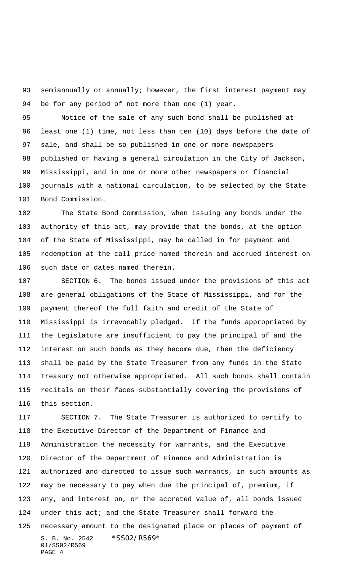93 semiannually or annually; however, the first interest payment may be for any period of not more than one (1) year.

 Notice of the sale of any such bond shall be published at least one (1) time, not less than ten (10) days before the date of sale, and shall be so published in one or more newspapers published or having a general circulation in the City of Jackson, Mississippi, and in one or more other newspapers or financial journals with a national circulation, to be selected by the State Bond Commission.

 The State Bond Commission, when issuing any bonds under the authority of this act, may provide that the bonds, at the option of the State of Mississippi, may be called in for payment and redemption at the call price named therein and accrued interest on such date or dates named therein.

 SECTION 6. The bonds issued under the provisions of this act are general obligations of the State of Mississippi, and for the payment thereof the full faith and credit of the State of Mississippi is irrevocably pledged. If the funds appropriated by the Legislature are insufficient to pay the principal of and the interest on such bonds as they become due, then the deficiency shall be paid by the State Treasurer from any funds in the State Treasury not otherwise appropriated. All such bonds shall contain recitals on their faces substantially covering the provisions of this section.

S. B. No. 2542 \*SS02/R569\* 01/SS02/R569 PAGE 4 SECTION 7. The State Treasurer is authorized to certify to the Executive Director of the Department of Finance and Administration the necessity for warrants, and the Executive Director of the Department of Finance and Administration is authorized and directed to issue such warrants, in such amounts as may be necessary to pay when due the principal of, premium, if any, and interest on, or the accreted value of, all bonds issued under this act; and the State Treasurer shall forward the necessary amount to the designated place or places of payment of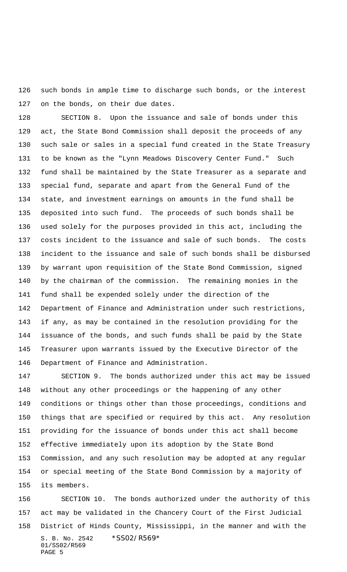such bonds in ample time to discharge such bonds, or the interest on the bonds, on their due dates.

 SECTION 8. Upon the issuance and sale of bonds under this act, the State Bond Commission shall deposit the proceeds of any such sale or sales in a special fund created in the State Treasury to be known as the "Lynn Meadows Discovery Center Fund." Such fund shall be maintained by the State Treasurer as a separate and special fund, separate and apart from the General Fund of the state, and investment earnings on amounts in the fund shall be deposited into such fund. The proceeds of such bonds shall be used solely for the purposes provided in this act, including the costs incident to the issuance and sale of such bonds. The costs incident to the issuance and sale of such bonds shall be disbursed by warrant upon requisition of the State Bond Commission, signed by the chairman of the commission. The remaining monies in the fund shall be expended solely under the direction of the Department of Finance and Administration under such restrictions, if any, as may be contained in the resolution providing for the issuance of the bonds, and such funds shall be paid by the State Treasurer upon warrants issued by the Executive Director of the Department of Finance and Administration.

 SECTION 9. The bonds authorized under this act may be issued without any other proceedings or the happening of any other conditions or things other than those proceedings, conditions and things that are specified or required by this act. Any resolution providing for the issuance of bonds under this act shall become effective immediately upon its adoption by the State Bond Commission, and any such resolution may be adopted at any regular or special meeting of the State Bond Commission by a majority of its members.

S. B. No. 2542 \*SS02/R569\* 01/SS02/R569 PAGE 5 SECTION 10. The bonds authorized under the authority of this act may be validated in the Chancery Court of the First Judicial District of Hinds County, Mississippi, in the manner and with the